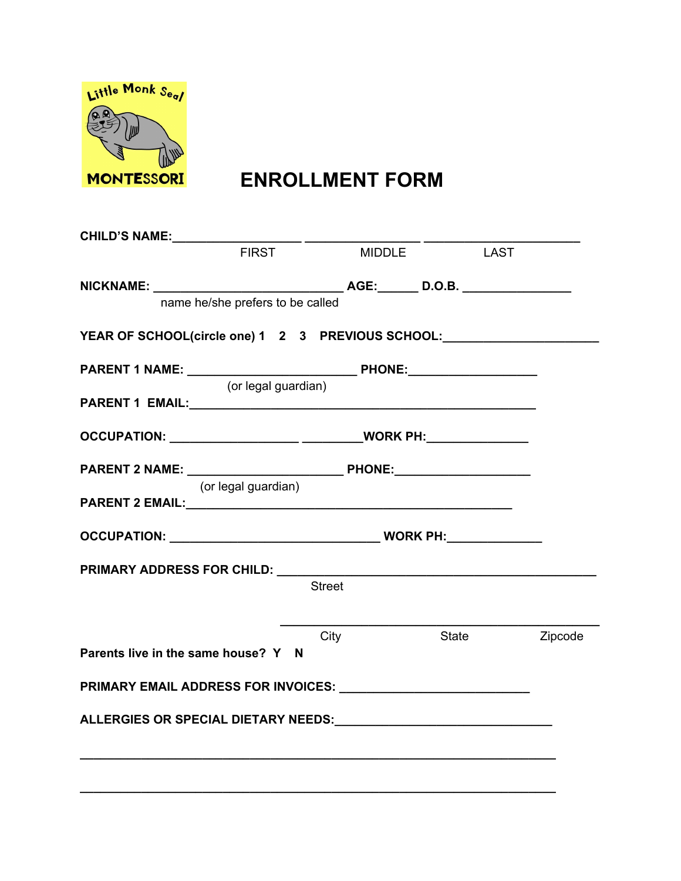

# **ENROLLMENT FORM**

| <b>CHILD'S NAME:</b>                                                                                                                                                                                                           |                                  |               |               |       |             |         |
|--------------------------------------------------------------------------------------------------------------------------------------------------------------------------------------------------------------------------------|----------------------------------|---------------|---------------|-------|-------------|---------|
|                                                                                                                                                                                                                                | <b>FIRST</b>                     |               | <b>MIDDLE</b> |       | <b>LAST</b> |         |
|                                                                                                                                                                                                                                |                                  |               |               |       |             |         |
|                                                                                                                                                                                                                                | name he/she prefers to be called |               |               |       |             |         |
| YEAR OF SCHOOL(circle one) 1 2 3 PREVIOUS SCHOOL:                                                                                                                                                                              |                                  |               |               |       |             |         |
|                                                                                                                                                                                                                                |                                  |               |               |       |             |         |
|                                                                                                                                                                                                                                | (or legal guardian)              |               |               |       |             |         |
|                                                                                                                                                                                                                                |                                  |               |               |       |             |         |
| OCCUPATION: ______________________ ___________WORK PH:________________                                                                                                                                                         |                                  |               |               |       |             |         |
|                                                                                                                                                                                                                                |                                  |               |               |       |             |         |
|                                                                                                                                                                                                                                | (or legal guardian)              |               |               |       |             |         |
|                                                                                                                                                                                                                                |                                  |               |               |       |             |         |
|                                                                                                                                                                                                                                |                                  |               |               |       |             |         |
|                                                                                                                                                                                                                                |                                  |               |               |       |             |         |
|                                                                                                                                                                                                                                |                                  | <b>Street</b> |               |       |             |         |
|                                                                                                                                                                                                                                |                                  |               |               |       |             |         |
| Parents live in the same house? Y N                                                                                                                                                                                            |                                  | City          |               | State |             | Zipcode |
|                                                                                                                                                                                                                                |                                  |               |               |       |             |         |
| PRIMARY EMAIL ADDRESS FOR INVOICES: University of the contract of the contract of the contract of the contract of the contract of the contract of the contract of the contract of the contract of the contract of the contract |                                  |               |               |       |             |         |
| ALLERGIES OR SPECIAL DIETARY NEEDS: North and the contract of the contract of the contract of the contract of the contract of the contract of the contract of the contract of the contract of the contract of the contract of  |                                  |               |               |       |             |         |
|                                                                                                                                                                                                                                |                                  |               |               |       |             |         |
|                                                                                                                                                                                                                                |                                  |               |               |       |             |         |

**\_\_\_\_\_\_\_\_\_\_\_\_\_\_\_\_\_\_\_\_\_\_\_\_\_\_\_\_\_\_\_\_\_\_\_\_\_\_\_\_\_\_\_\_\_\_\_\_\_\_\_\_\_\_\_\_\_\_\_\_\_\_\_\_\_\_\_\_\_\_**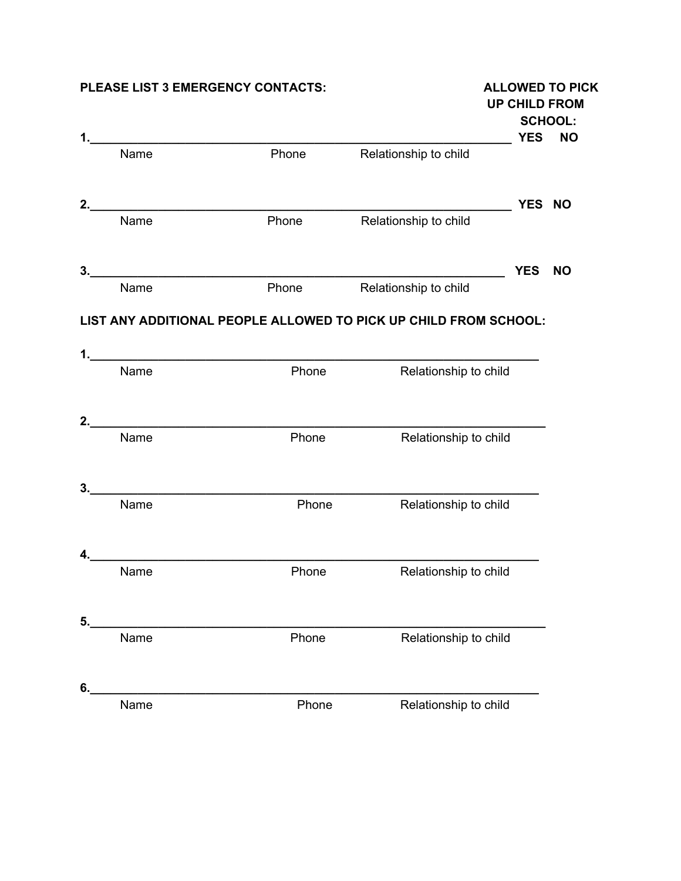### **PLEASE LIST 3 EMERGENCY CONTACTS: ALLOWED TO PICK**

|    |      |       |                                                                  | <b>UP CHILD FROM</b> |                             |
|----|------|-------|------------------------------------------------------------------|----------------------|-----------------------------|
|    |      |       |                                                                  | <b>YES</b>           | <b>SCHOOL:</b><br><b>NO</b> |
|    | Name | Phone | Relationship to child                                            |                      |                             |
| 2. |      |       |                                                                  | YES NO               |                             |
|    | Name | Phone | Relationship to child                                            |                      |                             |
| 3. |      |       |                                                                  | <b>YES</b>           | <b>NO</b>                   |
|    | Name | Phone | Relationship to child                                            |                      |                             |
|    |      |       | LIST ANY ADDITIONAL PEOPLE ALLOWED TO PICK UP CHILD FROM SCHOOL: |                      |                             |
|    | Name | Phone |                                                                  |                      |                             |
|    |      |       | Relationship to child                                            |                      |                             |
|    |      |       |                                                                  |                      |                             |
|    | Name | Phone | Relationship to child                                            |                      |                             |
|    |      |       |                                                                  |                      |                             |
| 3. |      |       |                                                                  |                      |                             |
|    | Name | Phone | Relationship to child                                            |                      |                             |
|    |      |       |                                                                  |                      |                             |
|    | Name | Phone | Relationship to child                                            |                      |                             |
|    |      |       |                                                                  |                      |                             |
| 5. |      |       |                                                                  |                      |                             |
|    | Name | Phone | Relationship to child                                            |                      |                             |
|    |      |       |                                                                  |                      |                             |
| 6. |      |       |                                                                  |                      |                             |
|    | Name | Phone | Relationship to child                                            |                      |                             |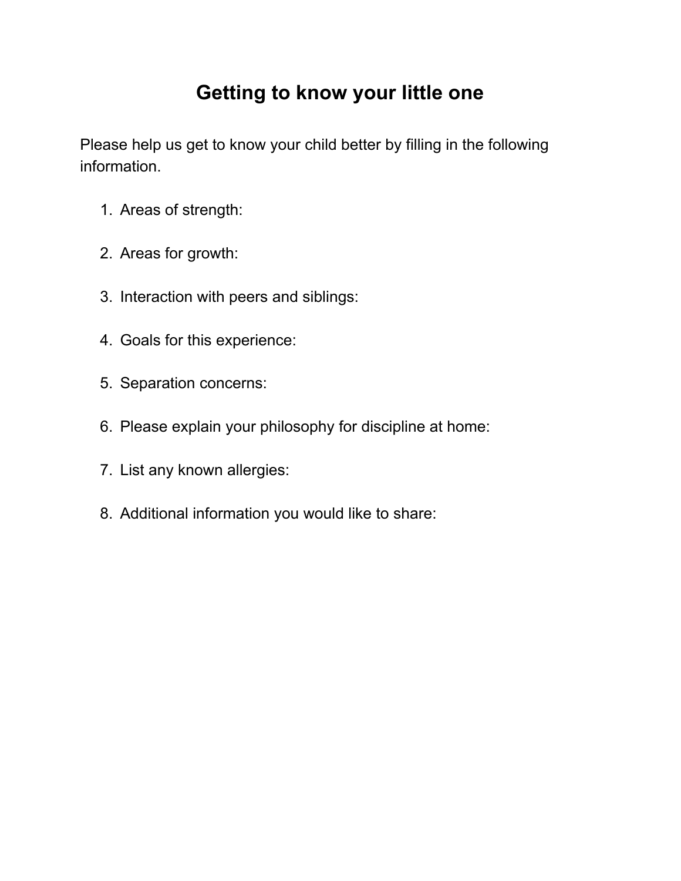# **Getting to know your little one**

Please help us get to know your child better by filling in the following information.

- 1. Areas of strength:
- 2. Areas for growth:
- 3. Interaction with peers and siblings:
- 4. Goals for this experience:
- 5. Separation concerns:
- 6. Please explain your philosophy for discipline at home:
- 7. List any known allergies:
- 8. Additional information you would like to share: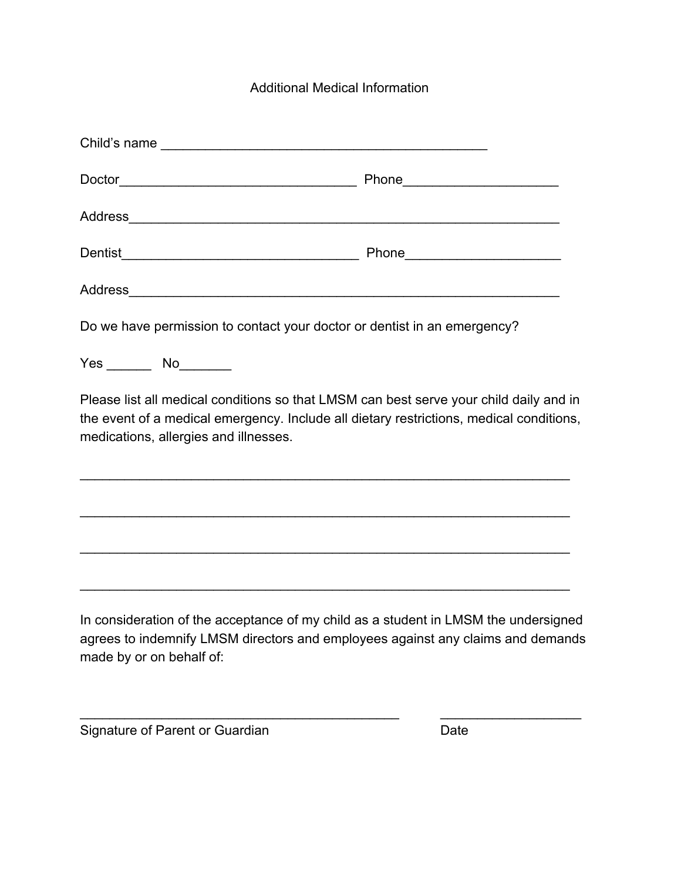### Additional Medical Information

|                                       | Do we have permission to contact your doctor or dentist in an emergency?                                                                                                          |
|---------------------------------------|-----------------------------------------------------------------------------------------------------------------------------------------------------------------------------------|
|                                       |                                                                                                                                                                                   |
| medications, allergies and illnesses. | Please list all medical conditions so that LMSM can best serve your child daily and in<br>the event of a medical emergency. Include all dietary restrictions, medical conditions, |
|                                       |                                                                                                                                                                                   |
|                                       |                                                                                                                                                                                   |
|                                       |                                                                                                                                                                                   |
| made by or on behalf of:              | In consideration of the acceptance of my child as a student in LMSM the undersigned<br>agrees to indemnify LMSM directors and employees against any claims and demands            |

\_\_\_\_\_\_\_\_\_\_\_\_\_\_\_\_\_\_\_\_\_\_\_\_\_\_\_\_\_\_\_\_\_\_\_\_\_\_\_\_\_\_\_ \_\_\_\_\_\_\_\_\_\_\_\_\_\_\_\_\_\_\_

Signature of Parent or Guardian Date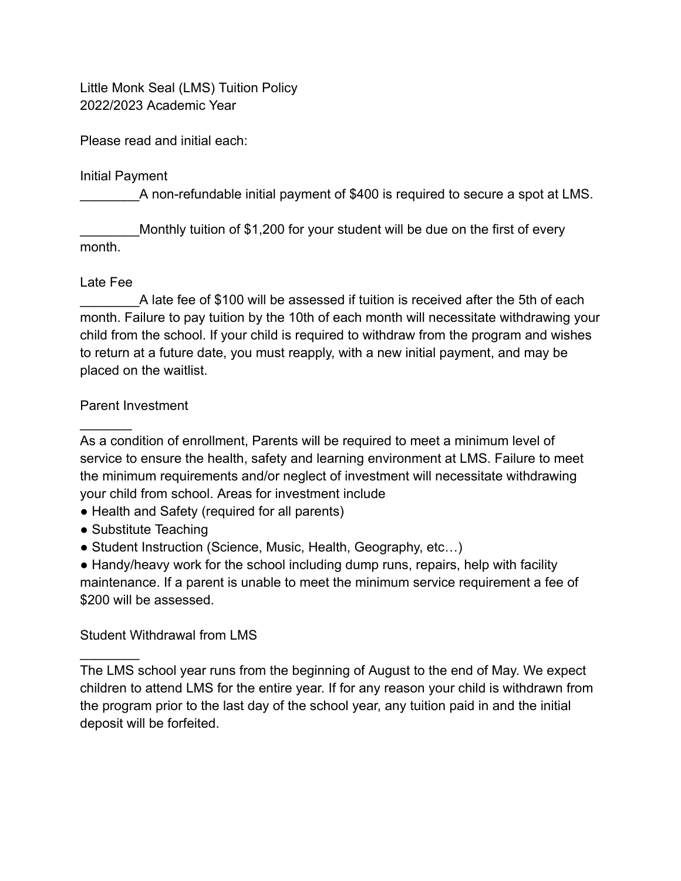Little Monk Seal (LMS) Tuition Policy 2022/2023 Academic Year

Please read and initial each:

Initial Payment

A non-refundable initial payment of \$400 is required to secure a spot at LMS.

Monthly tuition of \$1,200 for your student will be due on the first of every month.

#### Late Fee

 $\mathcal{L}$ 

 $\frac{1}{2}$ 

A late fee of \$100 will be assessed if tuition is received after the 5th of each month. Failure to pay tuition by the 10th of each month will necessitate withdrawing your child from the school. If your child is required to withdraw from the program and wishes to return at a future date, you must reapply, with a new initial payment, and may be placed on the waitlist.

#### Parent Investment

As a condition of enrollment, Parents will be required to meet a minimum level of service to ensure the health, safety and learning environment at LMS. Failure to meet the minimum requirements and/or neglect of investment will necessitate withdrawing your child from school. Areas for investment include

- Health and Safety (required for all parents)
- Substitute Teaching
- Student Instruction (Science, Music, Health, Geography, etc...)

• Handy/heavy work for the school including dump runs, repairs, help with facility maintenance. If a parent is unable to meet the minimum service requirement a fee of \$200 will be assessed.

#### Student Withdrawal from LMS

The LMS school year runs from the beginning of August to the end of May. We expect children to attend LMS for the entire year. If for any reason your child is withdrawn from the program prior to the last day of the school year, any tuition paid in and the initial deposit will be forfeited.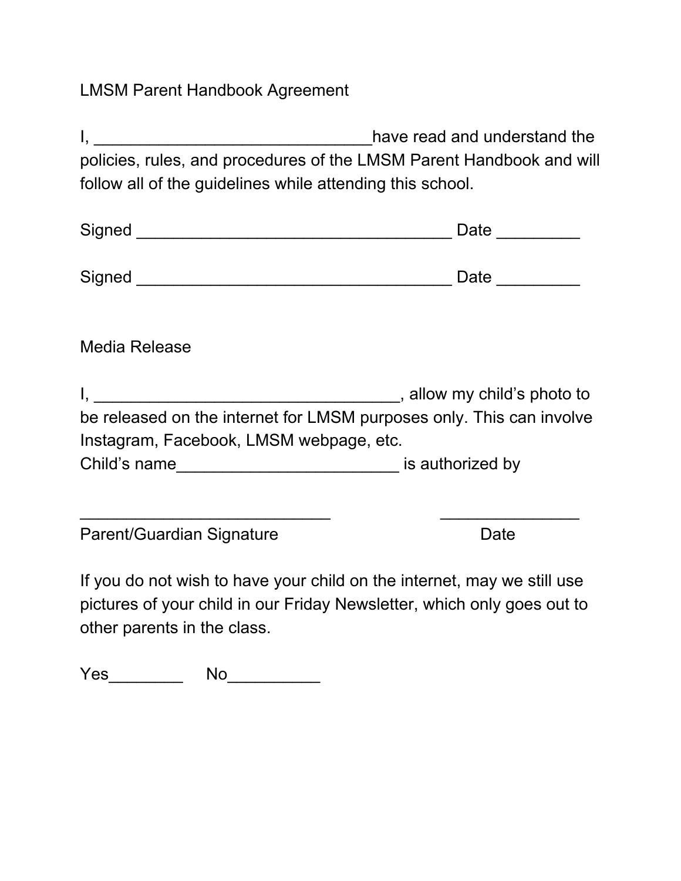# LMSM Parent Handbook Agreement

| $\mathsf{I}, \underline{\hspace{1cm}}$                               | have read and understand the |
|----------------------------------------------------------------------|------------------------------|
| policies, rules, and procedures of the LMSM Parent Handbook and will |                              |
| follow all of the guidelines while attending this school.            |                              |
|                                                                      | Date _________               |
|                                                                      | Date _________               |
| <b>Media Release</b>                                                 |                              |
| be released on the internet for LMSM purposes only. This can involve |                              |
| Instagram, Facebook, LMSM webpage, etc.                              |                              |
| Child's name__________________________________ is authorized by      |                              |
|                                                                      |                              |
| Parent/Guardian Signature                                            | Date                         |

If you do not wish to have your child on the internet, may we still use pictures of your child in our Friday Newsletter, which only goes out to other parents in the class.

Yes\_\_\_\_\_\_\_\_\_\_ No\_\_\_\_\_\_\_\_\_\_\_\_\_